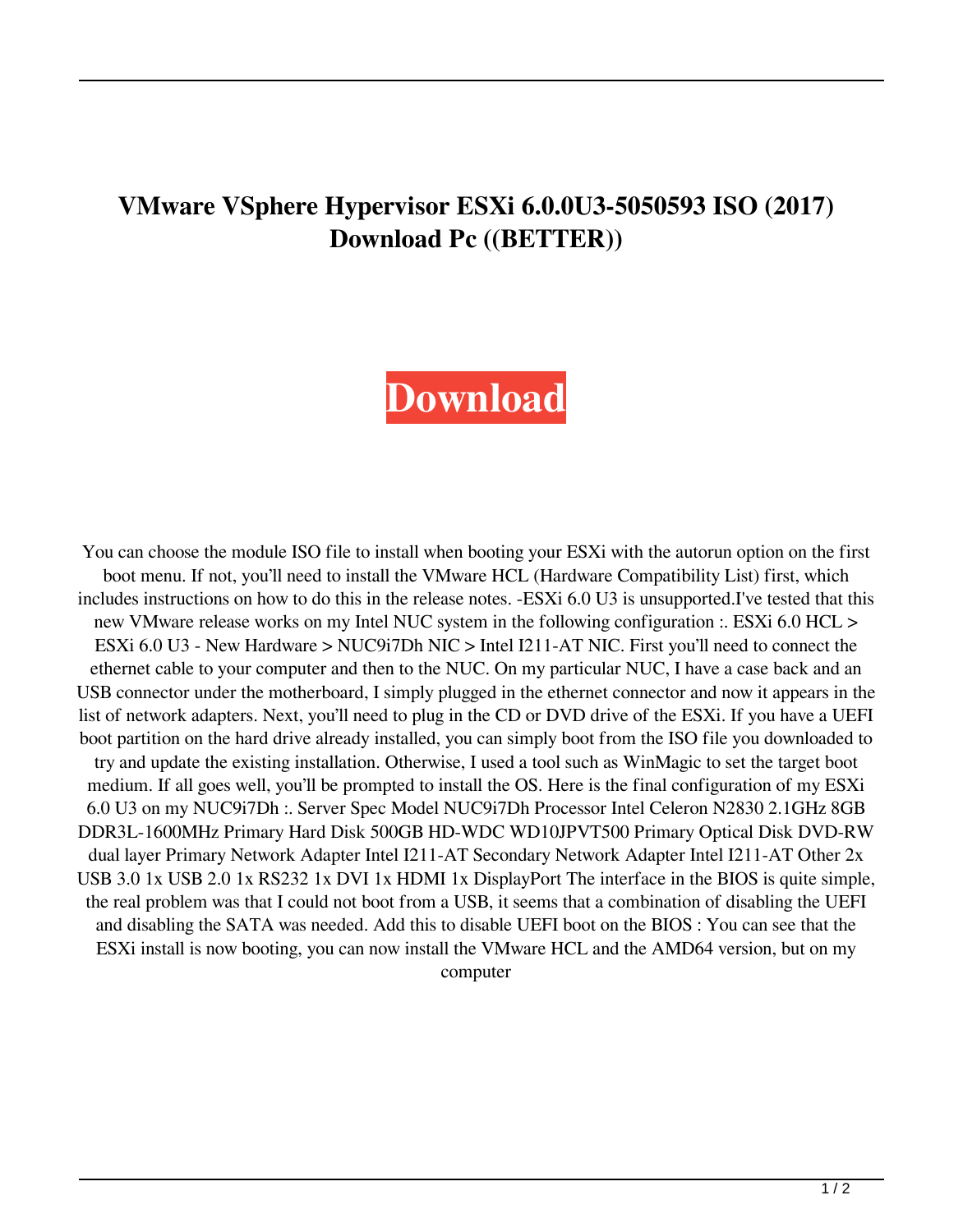## **VMware VSphere Hypervisor ESXi 6.0.0U3-5050593 ISO (2017) Download Pc ((BETTER))**

## **[Download](https://urlgoal.com/2l0uct)**

You can choose the module ISO file to install when booting your ESXi with the autorun option on the first boot menu. If not, you'll need to install the VMware HCL (Hardware Compatibility List) first, which includes instructions on how to do this in the release notes. -ESXi 6.0 U3 is unsupported.I've tested that this new VMware release works on my Intel NUC system in the following configuration :. ESXi 6.0 HCL > ESXi 6.0 U3 - New Hardware > NUC9i7Dh NIC > Intel I211-AT NIC. First you'll need to connect the ethernet cable to your computer and then to the NUC. On my particular NUC, I have a case back and an USB connector under the motherboard, I simply plugged in the ethernet connector and now it appears in the list of network adapters. Next, you'll need to plug in the CD or DVD drive of the ESXi. If you have a UEFI boot partition on the hard drive already installed, you can simply boot from the ISO file you downloaded to try and update the existing installation. Otherwise, I used a tool such as WinMagic to set the target boot medium. If all goes well, you'll be prompted to install the OS. Here is the final configuration of my ESXi 6.0 U3 on my NUC9i7Dh :. Server Spec Model NUC9i7Dh Processor Intel Celeron N2830 2.1GHz 8GB DDR3L-1600MHz Primary Hard Disk 500GB HD-WDC WD10JPVT500 Primary Optical Disk DVD-RW dual layer Primary Network Adapter Intel I211-AT Secondary Network Adapter Intel I211-AT Other 2x USB 3.0 1x USB 2.0 1x RS232 1x DVI 1x HDMI 1x DisplayPort The interface in the BIOS is quite simple, the real problem was that I could not boot from a USB, it seems that a combination of disabling the UEFI and disabling the SATA was needed. Add this to disable UEFI boot on the BIOS : You can see that the ESXi install is now booting, you can now install the VMware HCL and the AMD64 version, but on my computer